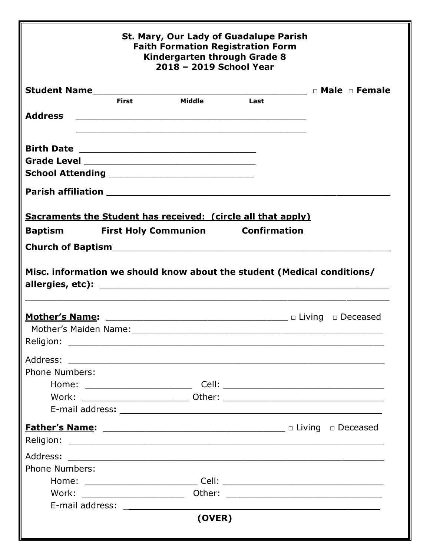| St. Mary, Our Lady of Guadalupe Parish<br><b>Faith Formation Registration Form</b><br>Kindergarten through Grade 8<br>2018 - 2019 School Year |       |                                                                         |      |  |  |
|-----------------------------------------------------------------------------------------------------------------------------------------------|-------|-------------------------------------------------------------------------|------|--|--|
|                                                                                                                                               |       |                                                                         |      |  |  |
| <b>Address</b>                                                                                                                                | First | Middle                                                                  | Last |  |  |
|                                                                                                                                               |       | <u> 1989 - Johann Barn, mars an t-Amerikaansk politiker (* 1908)</u>    |      |  |  |
|                                                                                                                                               |       |                                                                         |      |  |  |
|                                                                                                                                               |       | <b>Sacraments the Student has received: (circle all that apply)</b>     |      |  |  |
| <b>Baptism</b>                                                                                                                                |       | <b>First Holy Communion Confirmation</b>                                |      |  |  |
|                                                                                                                                               |       |                                                                         |      |  |  |
|                                                                                                                                               |       | Misc. information we should know about the student (Medical conditions/ |      |  |  |
|                                                                                                                                               |       |                                                                         |      |  |  |
| Address:                                                                                                                                      |       |                                                                         |      |  |  |
| <b>Phone Numbers:</b>                                                                                                                         |       |                                                                         |      |  |  |
|                                                                                                                                               |       |                                                                         |      |  |  |
|                                                                                                                                               |       |                                                                         |      |  |  |
|                                                                                                                                               |       |                                                                         |      |  |  |
|                                                                                                                                               |       |                                                                         |      |  |  |
|                                                                                                                                               |       |                                                                         |      |  |  |
|                                                                                                                                               |       |                                                                         |      |  |  |
| <b>Phone Numbers:</b>                                                                                                                         |       |                                                                         |      |  |  |
|                                                                                                                                               |       |                                                                         |      |  |  |
|                                                                                                                                               |       |                                                                         |      |  |  |
|                                                                                                                                               |       | (OVER)                                                                  |      |  |  |
|                                                                                                                                               |       |                                                                         |      |  |  |